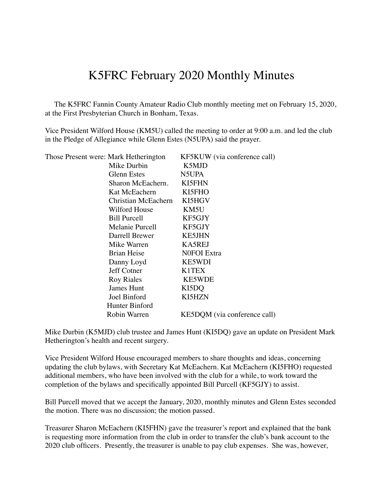## K5FRC February 2020 Monthly Minutes

 The K5FRC Fannin County Amateur Radio Club monthly meeting met on February 15, 2020, at the First Presbyterian Church in Bonham, Texas.

Vice President Wilford House (KM5U) called the meeting to order at 9:00 a.m. and led the club in the Pledge of Allegiance while Glenn Estes (N5UPA) said the prayer.

| Those Present were: Mark Hetherington | KF5KUW (via conference call) |
|---------------------------------------|------------------------------|
| Mike Durbin                           | K5MJD                        |
| Glenn Estes                           | N5UPA                        |
| Sharon McEachern.                     | <b>KI5FHN</b>                |
| Kat McEachern                         | KI5FHO                       |
| Christian McEachern                   | KI5HGV                       |
| Wilford House                         | KM5U                         |
| <b>Bill Purcell</b>                   | KF5GJY                       |
| Melanie Purcell                       | KF5GJY                       |
| Darrell Brewer                        | <b>KE5JHN</b>                |
| Mike Warren                           | <b>KA5REJ</b>                |
| Brian Heise                           | <b>NOFOI</b> Extra           |
| Danny Loyd                            | <b>KE5WDI</b>                |
| Jeff Cotner                           | <b>K1TEX</b>                 |
| <b>Roy Riales</b>                     | <b>KE5WDE</b>                |
| James Hunt                            | KI5DQ                        |
| Joel Binford                          | <b>KI5HZN</b>                |
| Hunter Binford                        |                              |
| Robin Warren                          | KE5DQM (via conference call) |
|                                       |                              |

Mike Durbin (K5MJD) club trustee and James Hunt (KI5DQ) gave an update on President Mark Hetherington's health and recent surgery.

Vice President Wilford House encouraged members to share thoughts and ideas, concerning updating the club bylaws, with Secretary Kat McEachern. Kat McEachern (KI5FHO) requested additional members, who have been involved with the club for a while, to work toward the completion of the bylaws and specifically appointed Bill Purcell (KF5GJY) to assist.

Bill Purcell moved that we accept the January, 2020, monthly minutes and Glenn Estes seconded the motion. There was no discussion; the motion passed.

Treasurer Sharon McEachern (KI5FHN) gave the treasurer's report and explained that the bank is requesting more information from the club in order to transfer the club's bank account to the 2020 club officers. Presently, the treasurer is unable to pay club expenses. She was, however,